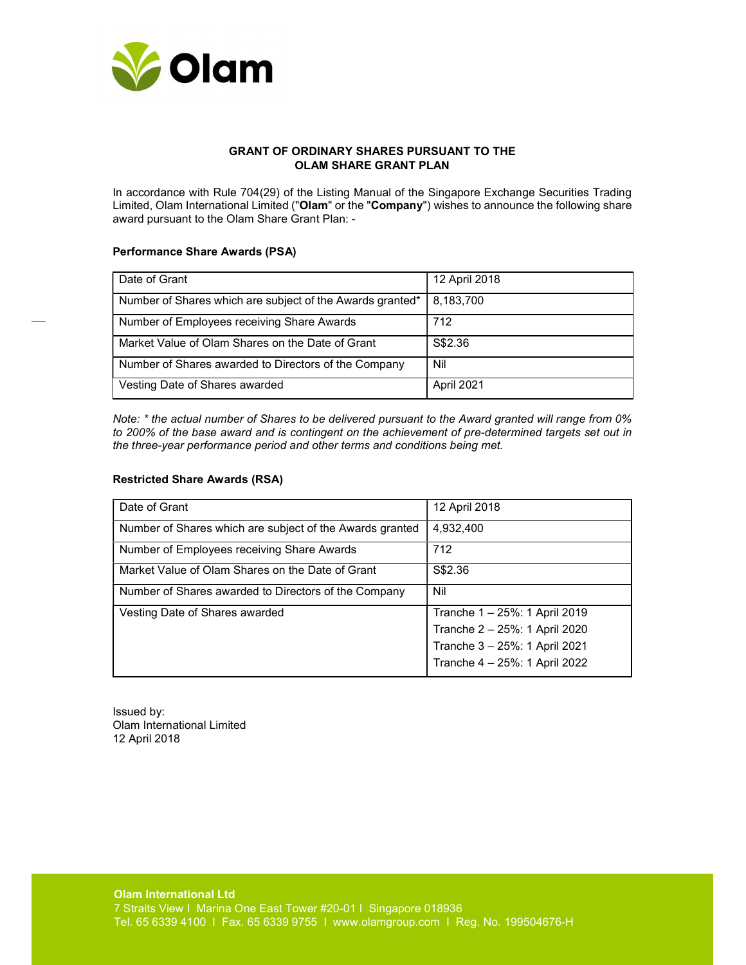

## GRANT OF ORDINARY SHARES PURSUANT TO THE OLAM SHARE GRANT PLAN

In accordance with Rule 704(29) of the Listing Manual of the Singapore Exchange Securities Trading Limited, Olam International Limited ("Olam" or the "Company") wishes to announce the following share award pursuant to the Olam Share Grant Plan: -

## Performance Share Awards (PSA)

| Date of Grant                                             | 12 April 2018 |
|-----------------------------------------------------------|---------------|
| Number of Shares which are subject of the Awards granted* | 8,183,700     |
| Number of Employees receiving Share Awards                | 712           |
| Market Value of Olam Shares on the Date of Grant          | S\$2.36       |
| Number of Shares awarded to Directors of the Company      | Nil           |
| Vesting Date of Shares awarded                            | April 2021    |

Note: \* the actual number of Shares to be delivered pursuant to the Award granted will range from 0% to 200% of the base award and is contingent on the achievement of pre-determined targets set out in the three-year performance period and other terms and conditions being met.

## Restricted Share Awards (RSA)

| Date of Grant                                            | 12 April 2018                 |
|----------------------------------------------------------|-------------------------------|
| Number of Shares which are subject of the Awards granted | 4.932.400                     |
| Number of Employees receiving Share Awards               | 712                           |
| Market Value of Olam Shares on the Date of Grant         | S\$2.36                       |
| Number of Shares awarded to Directors of the Company     | Nil                           |
| Vesting Date of Shares awarded                           | Tranche 1 - 25%: 1 April 2019 |
|                                                          | Tranche 2 - 25%: 1 April 2020 |
|                                                          | Tranche 3 - 25%: 1 April 2021 |
|                                                          | Tranche 4 - 25%: 1 April 2022 |

Issued by: Olam International Limited 12 April 2018